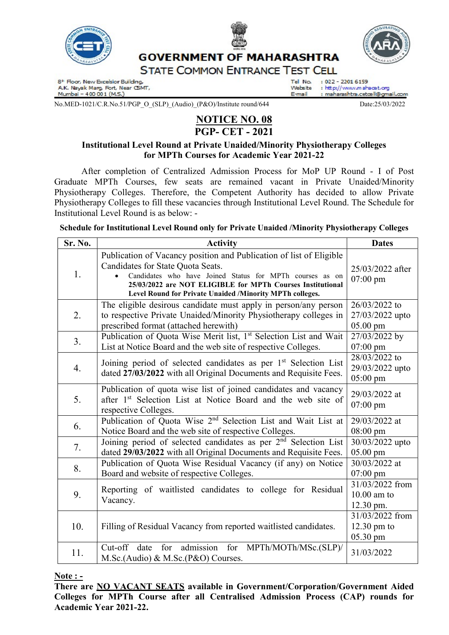



**GOVERNMENT OF MAHARASHTRA STATE COMMON ENTRANCE TEST CELL** 

Tel No.

Website

F-mail

8<sup>t</sup> Floor, New Excelsior Building,<br>A.K. Nayak Marg, Fort, Near CSMT, Mumbai - 400 001 (M.S.)

No.MED-1021/C.R.No.51/PGP\_O\_(SLP)\_(Audio)\_(P&O)/Institute round/644 Date:25/03/2022

### NOTICE NO. 08 PGP- CET - 2021

### Institutional Level Round at Private Unaided/Minority Physiotherapy Colleges for MPTh Courses for Academic Year 2021-22

 After completion of Centralized Admission Process for MoP UP Round - I of Post Graduate MPTh Courses, few seats are remained vacant in Private Unaided/Minority Physiotherapy Colleges. Therefore, the Competent Authority has decided to allow Private Physiotherapy Colleges to fill these vacancies through Institutional Level Round. The Schedule for Institutional Level Round is as below: -

Schedule for Institutional Level Round only for Private Unaided /Minority Physiotherapy Colleges

| Sr. No. | <b>Activity</b>                                                                                                                                                                                                                                                                                | <b>Dates</b>                                           |
|---------|------------------------------------------------------------------------------------------------------------------------------------------------------------------------------------------------------------------------------------------------------------------------------------------------|--------------------------------------------------------|
| 1.      | Publication of Vacancy position and Publication of list of Eligible<br>Candidates for State Quota Seats.<br>Candidates who have Joined Status for MPTh courses as on<br>25/03/2022 are NOT ELIGIBLE for MPTh Courses Institutional<br>Level Round for Private Unaided /Minority MPTh colleges. | 25/03/2022 after<br>$07:00 \text{ pm}$                 |
| 2.      | The eligible desirous candidate must apply in person/any person<br>to respective Private Unaided/Minority Physiotherapy colleges in<br>prescribed format (attached herewith)                                                                                                                   | 26/03/2022 to<br>27/03/2022 upto<br>05.00 pm           |
| 3.      | Publication of Quota Wise Merit list, 1st Selection List and Wait<br>List at Notice Board and the web site of respective Colleges.                                                                                                                                                             | 27/03/2022 by<br>$07:00 \text{ pm}$                    |
| 4.      | Joining period of selected candidates as per 1 <sup>st</sup> Selection List<br>dated 27/03/2022 with all Original Documents and Requisite Fees.                                                                                                                                                | 28/03/2022 to<br>29/03/2022 upto<br>$05:00 \text{ pm}$ |
| 5.      | Publication of quota wise list of joined candidates and vacancy<br>after 1 <sup>st</sup> Selection List at Notice Board and the web site of<br>respective Colleges.                                                                                                                            | 29/03/2022 at<br>$07:00 \text{ pm}$                    |
| 6.      | Publication of Quota Wise 2 <sup>nd</sup> Selection List and Wait List at<br>Notice Board and the web site of respective Colleges.                                                                                                                                                             | 29/03/2022 at<br>08:00 pm                              |
| 7.      | Joining period of selected candidates as per 2 <sup>nd</sup> Selection List<br>dated 29/03/2022 with all Original Documents and Requisite Fees.                                                                                                                                                | 30/03/2022 upto<br>05.00 pm                            |
| 8.      | Publication of Quota Wise Residual Vacancy (if any) on Notice<br>Board and website of respective Colleges.                                                                                                                                                                                     | 30/03/2022 at<br>$07:00 \text{ pm}$                    |
| 9.      | Reporting of waitlisted candidates to college for Residual<br>Vacancy.                                                                                                                                                                                                                         | 31/03/2022 from<br>$10.00$ am to<br>12.30 pm.          |
| 10.     | Filling of Residual Vacancy from reported waitlisted candidates.                                                                                                                                                                                                                               | 31/03/2022 from<br>$12.30$ pm to<br>05.30 pm           |
| 11.     | admission<br>for MPTh/MOTh/MSc.(SLP)/<br>$Cut-off$<br>for<br>date<br>M.Sc.(Audio) & M.Sc.(P&O) Courses.                                                                                                                                                                                        | 31/03/2022                                             |

#### Note : -

There are NO VACANT SEATS available in Government/Corporation/Government Aided Colleges for MPTh Course after all Centralised Admission Process (CAP) rounds for Academic Year 2021-22.

 $: 022 - 22016159$ 

: http://www.mahacet.org

: maharashtra.cetœll@gmail.com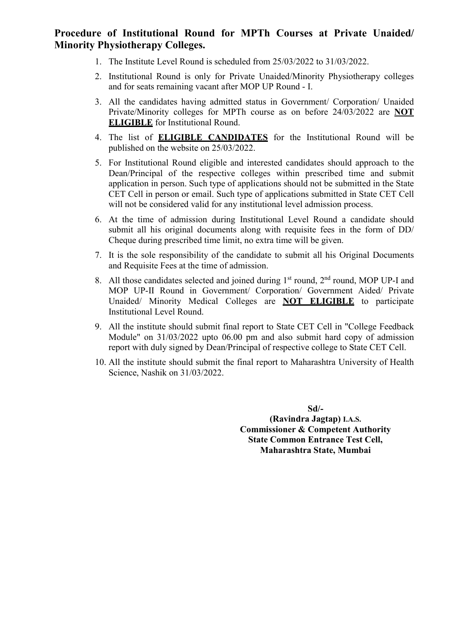## Procedure of Institutional Round for MPTh Courses at Private Unaided/ Minority Physiotherapy Colleges.

- 1. The Institute Level Round is scheduled from 25/03/2022 to 31/03/2022.
- 2. Institutional Round is only for Private Unaided/Minority Physiotherapy colleges and for seats remaining vacant after MOP UP Round - I.
- 3. All the candidates having admitted status in Government/ Corporation/ Unaided Private/Minority colleges for MPTh course as on before 24/03/2022 are NOT ELIGIBLE for Institutional Round.
- 4. The list of ELIGIBLE CANDIDATES for the Institutional Round will be published on the website on 25/03/2022.
- 5. For Institutional Round eligible and interested candidates should approach to the Dean/Principal of the respective colleges within prescribed time and submit application in person. Such type of applications should not be submitted in the State CET Cell in person or email. Such type of applications submitted in State CET Cell will not be considered valid for any institutional level admission process.
- 6. At the time of admission during Institutional Level Round a candidate should submit all his original documents along with requisite fees in the form of DD/ Cheque during prescribed time limit, no extra time will be given.
- 7. It is the sole responsibility of the candidate to submit all his Original Documents and Requisite Fees at the time of admission.
- 8. All those candidates selected and joined during  $1<sup>st</sup>$  round,  $2<sup>nd</sup>$  round, MOP UP-I and MOP UP-II Round in Government/ Corporation/ Government Aided/ Private Unaided/ Minority Medical Colleges are NOT ELIGIBLE to participate Institutional Level Round.
- 9. All the institute should submit final report to State CET Cell in "College Feedback Module" on 31/03/2022 upto 06.00 pm and also submit hard copy of admission report with duly signed by Dean/Principal of respective college to State CET Cell.
- 10. All the institute should submit the final report to Maharashtra University of Health Science, Nashik on 31/03/2022.

Sd/- (Ravindra Jagtap) I.A.S. Commissioner & Competent Authority State Common Entrance Test Cell, Maharashtra State, Mumbai